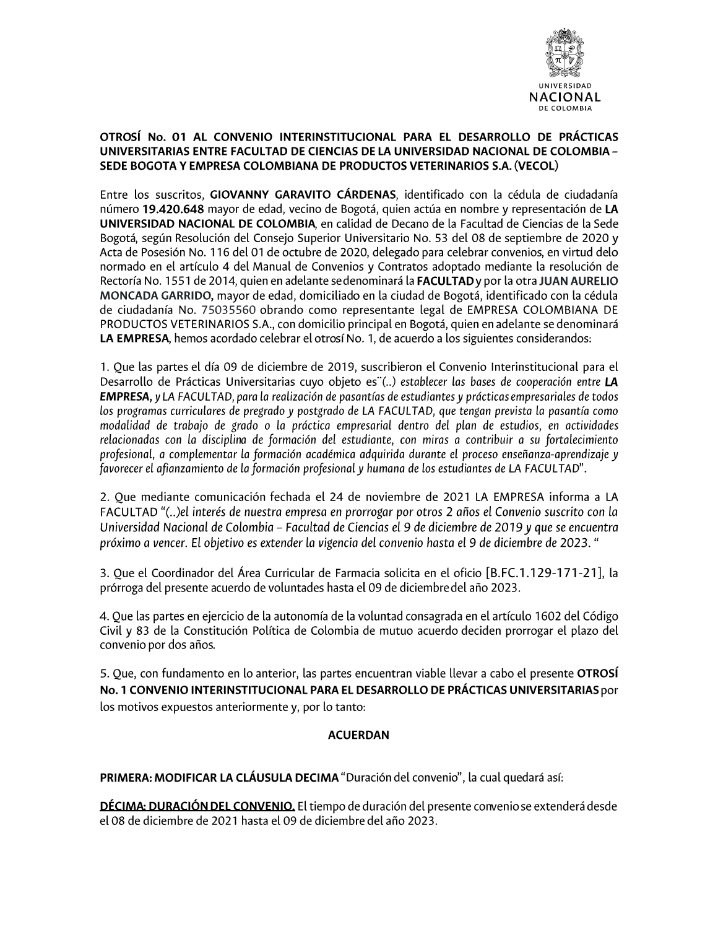

### OTROSÍ No. 01 AL CONVENIO INTERINSTITUCIONAL PARA EL DESARROLLO DE PRÁCTICAS UNIVERSITARIAS ENTRE FACULTAD DE CIENCIAS DE LA UNIVERSIDAD NACIONAL DE COLOMBIA -SEDE BOGOTA Y EMPRESA COLOMBIANA DE PRODUCTOS VETERINARIOS S.A. (VECOL)

Entre los suscritos, GIOVANNY GARAVITO CÁRDENAS, identificado con la cédula de ciudadanía número 19.420.648 mayor de edad, vecino de Bogotá, quien actúa en nombre y representación de LA UNIVERSIDAD NACIONAL DE COLOMBIA, en calidad de Decano de la Facultad de Ciencias de la Sede Bogotá, según Resolución del Consejo Superior Universitario No. 53 del 08 de septiembre de 2020 y Acta de Posesión No. 116 del 01 de octubre de 2020, delegado para celebrar convenios, en virtud delo normado en el artículo 4 del Manual de Convenios y Contratos adoptado mediante la resolución de Rectoría No. 1551 de 2014, quien en adelante se denominará la FACULTAD y por la otra JUAN AURELIO MONCADA GARRIDO, mayor de edad, domiciliado en la ciudad de Bogotá, identificado con la cédula de ciudadanía No. 75035560 obrando como representante legal de EMPRESA COLOMBIANA DE PRODUCTOS VETERINARIOS S.A., con domicilio principal en Bogotá, quien en adelante se denominará LA EMPRESA, hemos acordado celebrar el otrosí No. 1, de acuerdo a los siguientes considerandos:

1. Que las partes el día 09 de diciembre de 2019, suscribieron el Convenio Interinstitucional para el Desarrollo de Prácticas Universitarias cuyo objeto es"(..) establecer las bases de cooperación entre LA **EMPRESA, y** LA FACULTAD, para la realización de pasantías de estudiantes y prácticas empresariales de todos los programas curriculares de pregrado y postgrado de LA FACULTAD, que tengan prevista la pasantía como modalidad de trabajo de grado o la práctica empresarial dentro del plan de estudios, en actividades relacionadas con la disciplina de formación del estudiante, con miras a contribuir a su fortalecimiento profesional, a complementar la formación académica adquirida durante el proceso enseñanza-aprendizaje y favorecer el afianzamiento de la formación profesional y humana de los estudiantes de LA FACULTAD".

2. Que mediante comunicación fechada el 24 de noviembre de 2021 LA EMPRESA informa a LA FACULTAD "(..)el interés de nuestra empresa en prorrogar por otros 2 años el Convenio suscrito con la Universidad Nacional de Colombia - Facultad de Ciencias el 9 de diciembre de 2019 y que se encuentra próximo a vencer. El objetivo es extender la vigencia del convenio hasta el 9 de diciembre de 2023. "

3. Que el Coordinador del Área Curricular de Farmacia solicita en el oficio [B.FC.1.129-171-21], la prórroga del presente acuerdo de voluntades hasta el 09 de diciembre del año 2023.

4. Que las partes en ejercicio de la autonomía de la voluntad consagrada en el artículo 1602 del Código Civil y 83 de la Constitución Política de Colombia de mutuo acuerdo deciden prorrogar el plazo del convenio por dos años.

5. Que, con fundamento en lo anterior, las partes encuentran viable llevar a cabo el presente OTROSÍ No. 1 CONVENIO INTERINSTITUCIONAL PARA EL DESARROLLO DE PRÁCTICAS UNIVERSITARIAS por los motivos expuestos anteriormente y, por lo tanto:

### **ACUERDAN**

PRIMERA: MODIFICAR LA CLÁUSULA DECIMA "Duración del convenio", la cual quedará así:

DÉCIMA: DURACIÓN DEL CONVENIO. El tiempo de duración del presente convenio se extenderá desde el 08 de diciembre de 2021 hasta el 09 de diciembre del año 2023.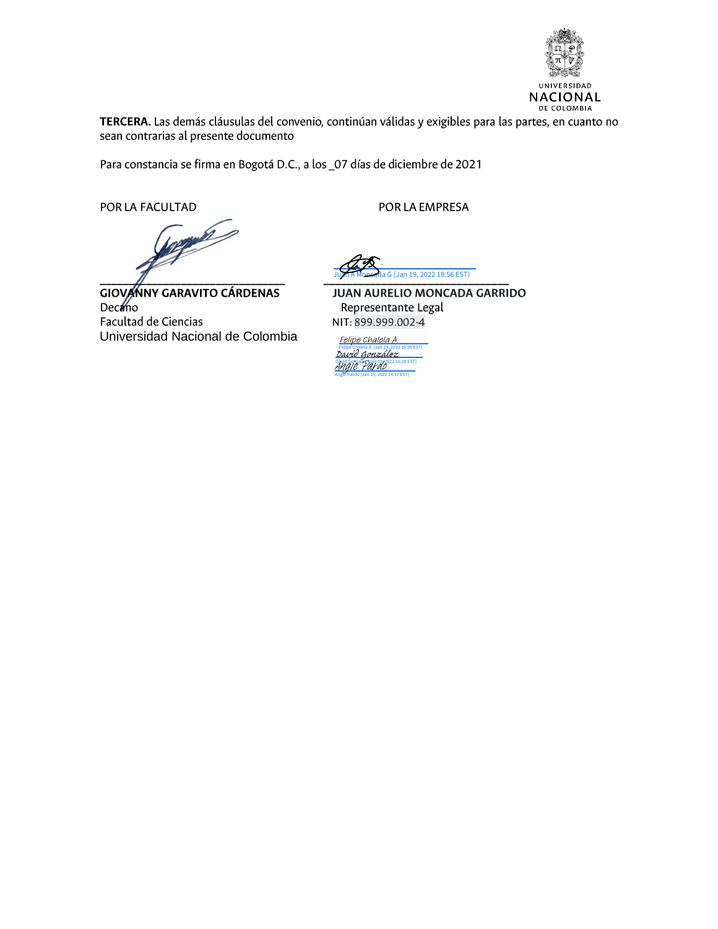

TERCERA. Las demás cláusulas del convenio, continúan válidas y exigibles para las partes, en cuanto no sean contrarias al presente documento

Para constancia se firma en Bogotá D.C., a los \_07 días de diciembre de 2021

POR LA FACULTAD

b

**GIOVANNY GARAVITO CÁRDENAS** Deceno Facultad de Ciencias Universidad Nacional de Colombia

POR LA EMPRESA

G (Jan 19, 2022 19:56 EST)

JUAN AURELIO MONCADA GARRIDO Representante Legal NIT: 899.999.002-4

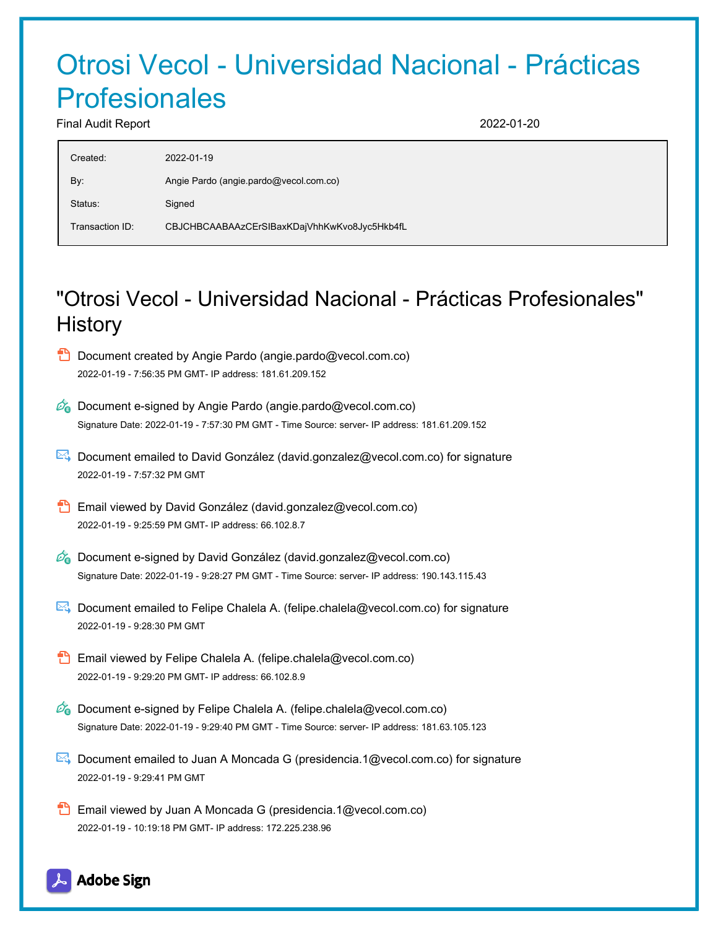# Otrosi Vecol - Universidad Nacional - Prácticas Profesionales

Final Audit Report 2022-01-20

| Created:        | 2022-01-19                                   |
|-----------------|----------------------------------------------|
| By:             | Angie Pardo (angie pardo@vecol.com.co)       |
| Status:         | Signed                                       |
| Transaction ID: | CBJCHBCAABAAzCErSIBaxKDajVhhKwKvo8Jyc5Hkb4fL |
|                 |                                              |

## "Otrosi Vecol - Universidad Nacional - Prácticas Profesionales" **History**



Document emailed to Felipe Chalela A. (felipe.chalela@vecol.com.co) for signature 2022-01-19 - 9:28:30 PM GMT

- Email viewed by Felipe Chalela A. (felipe.chalela@vecol.com.co) 2022-01-19 - 9:29:20 PM GMT- IP address: 66.102.8.9
- $\mathscr{O}_\bullet$  Document e-signed by Felipe Chalela A. (felipe.chalela@vecol.com.co) Signature Date: 2022-01-19 - 9:29:40 PM GMT - Time Source: server- IP address: 181.63.105.123
- Document emailed to Juan A Moncada G (presidencia.1@vecol.com.co) for signature 2022-01-19 - 9:29:41 PM GMT
- **Email viewed by Juan A Moncada G (presidencia.1@vecol.com.co)** 2022-01-19 - 10:19:18 PM GMT- IP address: 172.225.238.96

### Adobe Sign